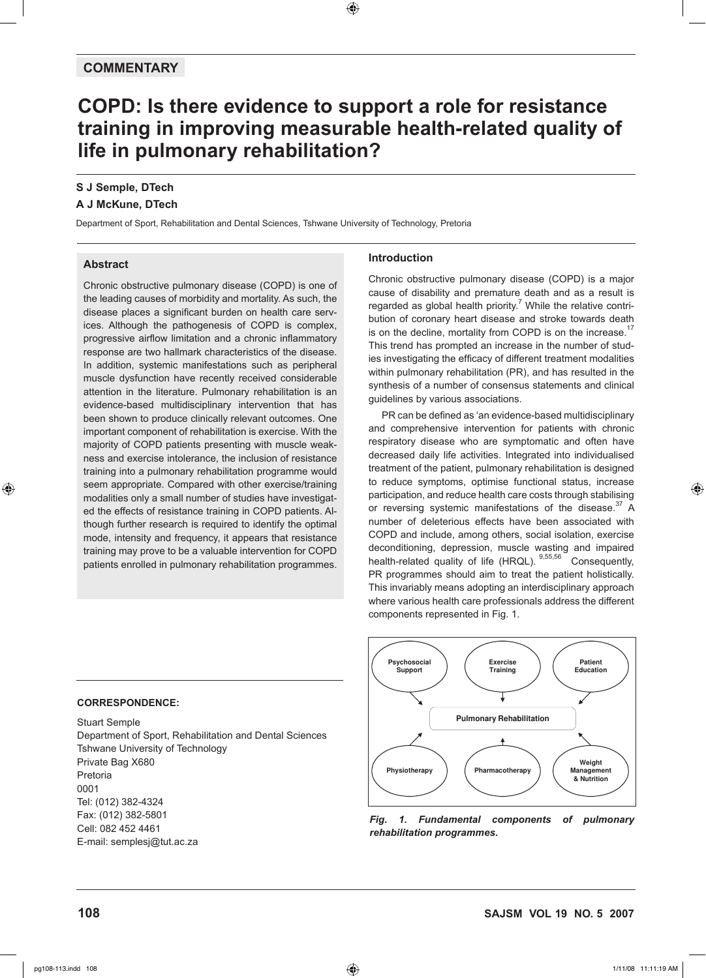# **COMMENTARY**

# **COPD: Is there evidence to support a role for resistance training in improving measurable health-related quality of life in pulmonary rehabilitation?**

 $\bigoplus$ 

# **S J Semple, DTech**

### **A J McKune, DTech**

Department of Sport, Rehabilitation and Dental Sciences, Tshwane University of Technology, Pretoria

### **Abstract**

⊕

Chronic obstructive pulmonary disease (COPD) is one of the leading causes of morbidity and mortality. As such, the disease places a significant burden on health care services. Although the pathogenesis of COPD is complex, progressive airflow limitation and a chronic inflammatory response are two hallmark characteristics of the disease. In addition, systemic manifestations such as peripheral muscle dysfunction have recently received considerable attention in the literature. Pulmonary rehabilitation is an evidence-based multidisciplinary intervention that has been shown to produce clinically relevant outcomes. One important component of rehabilitation is exercise. With the majority of COPD patients presenting with muscle weakness and exercise intolerance, the inclusion of resistance training into a pulmonary rehabilitation programme would seem appropriate. Compared with other exercise/training modalities only a small number of studies have investigated the effects of resistance training in COPD patients. Although further research is required to identify the optimal mode, intensity and frequency, it appears that resistance training may prove to be a valuable intervention for COPD patients enrolled in pulmonary rehabilitation programmes.

### **Introduction**

Chronic obstructive pulmonary disease (COPD) is a major cause of disability and premature death and as a result is regarded as global health priority.<sup>7</sup> While the relative contribution of coronary heart disease and stroke towards death is on the decline, mortality from COPD is on the increase.<sup>17</sup> This trend has prompted an increase in the number of studies investigating the efficacy of different treatment modalities within pulmonary rehabilitation (PR), and has resulted in the synthesis of a number of consensus statements and clinical guidelines by various associations.

PR can be defined as 'an evidence-based multidisciplinary and comprehensive intervention for patients with chronic respiratory disease who are symptomatic and often have decreased daily life activities. Integrated into individualised treatment of the patient, pulmonary rehabilitation is designed to reduce symptoms, optimise functional status, increase participation, and reduce health care costs through stabilising or reversing systemic manifestations of the disease.<sup>37</sup> A number of deleterious effects have been associated with COPD and include, among others, social isolation, exercise deconditioning, depression, muscle wasting and impaired health-related quality of life (HRQL). 9,55,56 Consequently, PR programmes should aim to treat the patient holistically. This invariably means adopting an interdisciplinary approach where various health care professionals address the different components represented in Fig. 1.



### *Fig. 1. Fundamental components of pulmonary rehabilitation programmes.*

### **CORRESPONDENCE:**

Stuart Semple Department of Sport, Rehabilitation and Dental Sciences Tshwane University of Technology Private Bag X680 Pretoria 0001 Tel: (012) 382-4324 Fax: (012) 382-5801 Cell: 082 452 4461 E-mail: semplesj@tut.ac.za

**108 SAJSM vol 19 No. 5 2007**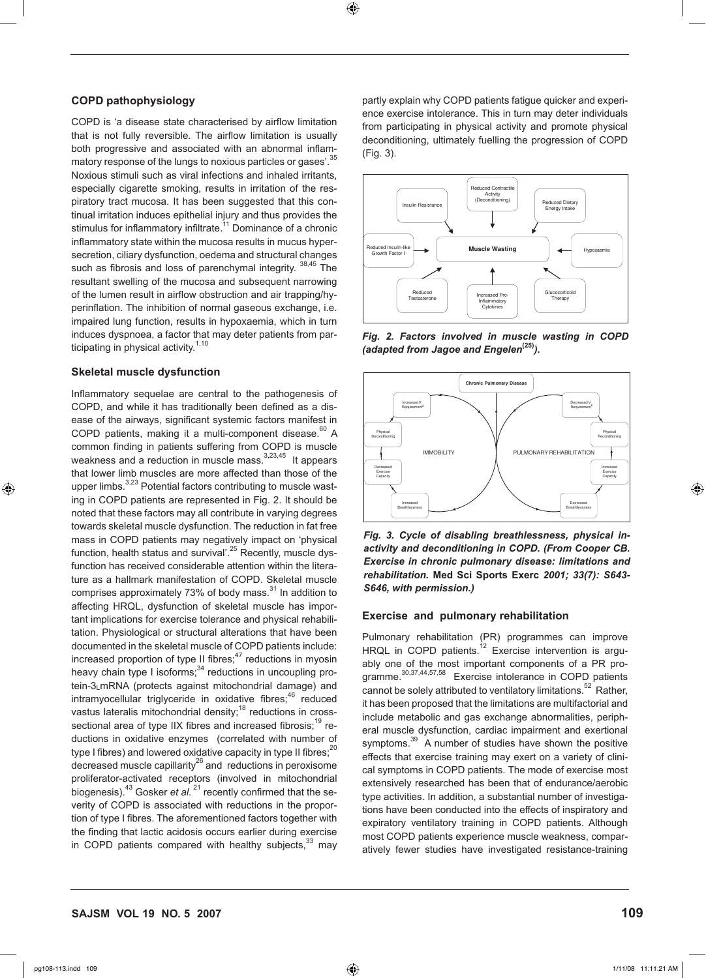# **SAJSM vol 19 No. 5 2007 109**

**COPD pathophysiology** 

ticipating in physical activity. $1,10$ 

⊕

**Skeletal muscle dysfunction**

COPD is 'a disease state characterised by airflow limitation that is not fully reversible. The airflow limitation is usually both progressive and associated with an abnormal inflammatory response of the lungs to noxious particles or gases'.<sup>35</sup> Noxious stimuli such as viral infections and inhaled irritants, especially cigarette smoking, results in irritation of the respiratory tract mucosa. It has been suggested that this continual irritation induces epithelial injury and thus provides the stimulus for inflammatory infiltrate.<sup>11</sup> Dominance of a chronic inflammatory state within the mucosa results in mucus hypersecretion, ciliary dysfunction, oedema and structural changes such as fibrosis and loss of parenchymal integrity. <sup>38,45</sup> The resultant swelling of the mucosa and subsequent narrowing of the lumen result in airflow obstruction and air trapping/hyperinflation. The inhibition of normal gaseous exchange, i.e. impaired lung function, results in hypoxaemia, which in turn induces dyspnoea, a factor that may deter patients from par-

Inflammatory sequelae are central to the pathogenesis of COPD, and while it has traditionally been defined as a disease of the airways, significant systemic factors manifest in COPD patients, making it a multi-component disease. $60$  A common finding in patients suffering from COPD is muscle weakness and a reduction in muscle mass. $3,23,45$  It appears that lower limb muscles are more affected than those of the upper limbs.<sup>3,23</sup> Potential factors contributing to muscle wasting in COPD patients are represented in Fig. 2. It should be noted that these factors may all contribute in varying degrees towards skeletal muscle dysfunction. The reduction in fat free mass in COPD patients may negatively impact on 'physical function, health status and survival'.<sup>25</sup> Recently, muscle dysfunction has received considerable attention within the literature as a hallmark manifestation of COPD. Skeletal muscle comprises approximately 73% of body mass.<sup>31</sup> In addition to affecting HRQL, dysfunction of skeletal muscle has important implications for exercise tolerance and physical rehabilitation. Physiological or structural alterations that have been documented in the skeletal muscle of COPD patients include: increased proportion of type II fibres; $47$  reductions in myosin heavy chain type I isoforms;<sup>34</sup> reductions in uncoupling protein-3LmRNA (protects against mitochondrial damage) and  $intramyocellular$  triglyceride in oxidative fibres; $46$  reduced vastus lateralis mitochondrial density;<sup>18</sup> reductions in crosssectional area of type IIX fibres and increased fibrosis;<sup>19</sup> reductions in oxidative enzymes (correlated with number of type I fibres) and lowered oxidative capacity in type II fibres;<sup>20</sup>  $\frac{1}{26}$  decreased muscle capillarity<sup>26</sup> and reductions in peroxisome proliferator-activated receptors (involved in mitochondrial biogenesis).<sup>43</sup> Gosker *et al.*<sup>21</sup> recently confirmed that the severity of COPD is associated with reductions in the proportion of type I fibres. The aforementioned factors together with the finding that lactic acidosis occurs earlier during exercise in COPD patients compared with healthy subjects, $33$  may





*Fig. 2. Factors involved in muscle wasting in COPD (adapted from Jagoe and Engelen***(25)***).*



*Fig. 3. Cycle of disabling breathlessness, physical inactivity and deconditioning in COPD. (From Cooper CB. Exercise in chronic pulmonary disease: limitations and rehabilitation.* **Med Sci Sports Exerc** *2001; 33(7): S643- S646, with permission.)*

## **Exercise and pulmonary rehabilitation**

Pulmonary rehabilitation (PR) programmes can improve HRQL in COPD patients.<sup>12</sup> Exercise intervention is arguably one of the most important components of a PR programme.30,37,44,57,58 Exercise intolerance in COPD patients cannot be solely attributed to ventilatory limitations.<sup>52</sup> Rather, it has been proposed that the limitations are multifactorial and include metabolic and gas exchange abnormalities, peripheral muscle dysfunction, cardiac impairment and exertional symptoms.<sup>39</sup> A number of studies have shown the positive effects that exercise training may exert on a variety of clinical symptoms in COPD patients. The mode of exercise most extensively researched has been that of endurance/aerobic type activities. In addition, a substantial number of investigations have been conducted into the effects of inspiratory and expiratory ventilatory training in COPD patients. Although most COPD patients experience muscle weakness, comparatively fewer studies have investigated resistance-training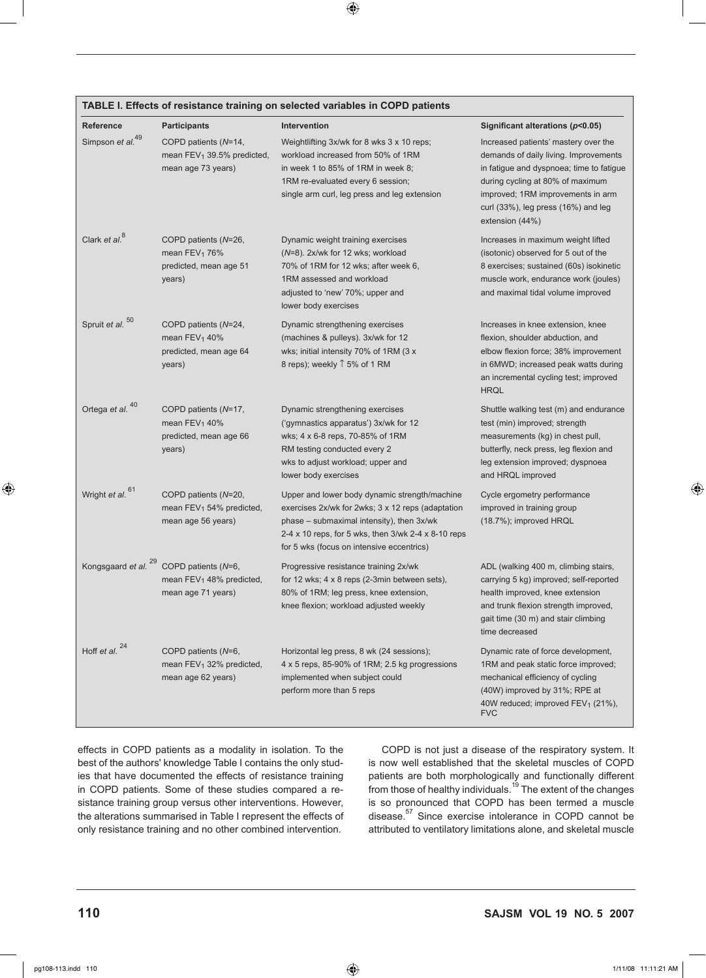|                                                                                                                                                                                                                                                                                                                                                                                                                                                                                                                                                                    | knee flexion; workload adjusted we |
|--------------------------------------------------------------------------------------------------------------------------------------------------------------------------------------------------------------------------------------------------------------------------------------------------------------------------------------------------------------------------------------------------------------------------------------------------------------------------------------------------------------------------------------------------------------------|------------------------------------|
| Hoff et al. $^{24}$<br>COPD patients (N=6,<br>Horizontal leg press, 8 wk (24 sess<br>mean FEV <sub>1</sub> 32% predicted,<br>4 x 5 reps, 85-90% of 1RM; 2.5 kg<br>mean age 62 years)<br>implemented when subject could<br>perform more than 5 reps                                                                                                                                                                                                                                                                                                                 |                                    |
| effects in COPD patients as a modality in isolation. To the<br><b>COPD</b><br>best of the authors' knowledge Table I contains the only stud-<br>is now w<br>ies that have documented the effects of resistance training<br>patients a<br>in COPD patients. Some of these studies compared a re-<br>from thos<br>sistance training group versus other interventions. However,<br>is so pro<br>disease. <sup>5</sup><br>the alterations summarised in Table I represent the effects of<br>only resistance training and no other combined intervention.<br>attributed |                                    |

# **Reference Participants Intervention Intervention Significant alterations (***p***<b>0.05)**<br>
Simpson *et al.*<sup>49</sup> COPD patients (*N*=14, Weightlifting 3x/wk for 8 wks 3 x 10 reps; Increased patients' mastery over COPD patients (*N*=14, Weightlifting 3x/wk for 8 wks 3 x 10 reps; Increased patients' mastery over the

 $\bigoplus$ 

mean FEV<sub>1</sub> 39.5% predicted, workload increased from 50% of 1RM demands of daily living. Improvements mean age 73 years) in week 1 to 85% of 1RM in week 8; in fatigue and dyspnoea; time to fatigue

| TABLE I. Effects of resistance training on selected variables in COPD patients |  |  |
|--------------------------------------------------------------------------------|--|--|
|--------------------------------------------------------------------------------|--|--|

|                             |                                                                                                    | 1RM re-evaluated every 6 session;<br>single arm curl, leg press and leg extension                                                                                                                                                                   | during cycling at 80% of maximum<br>improved; 1RM improvements in arm<br>curl $(33\%)$ , leg press $(16\%)$ and leg<br>extension (44%)                                                                             |
|-----------------------------|----------------------------------------------------------------------------------------------------|-----------------------------------------------------------------------------------------------------------------------------------------------------------------------------------------------------------------------------------------------------|--------------------------------------------------------------------------------------------------------------------------------------------------------------------------------------------------------------------|
| Clark et al. <sup>8</sup>   | COPD patients (N=26,<br>mean $FEV_1$ 76%<br>predicted, mean age 51<br>years)                       | Dynamic weight training exercises<br>(N=8). 2x/wk for 12 wks; workload<br>70% of 1RM for 12 wks; after week 6,<br>1RM assessed and workload<br>adjusted to 'new' 70%; upper and<br>lower body exercises                                             | Increases in maximum weight lifted<br>(isotonic) observed for 5 out of the<br>8 exercises; sustained (60s) isokinetic<br>muscle work, endurance work (joules)<br>and maximal tidal volume improved                 |
| Spruit et al. <sup>50</sup> | COPD patients (N=24,<br>mean FEV <sub>1</sub> 40%<br>predicted, mean age 64<br>years)              | Dynamic strengthening exercises<br>(machines & pulleys). 3x/wk for 12<br>wks; initial intensity 70% of 1RM (3 x<br>8 reps); weekly $\uparrow$ 5% of 1 RM                                                                                            | Increases in knee extension, knee<br>flexion, shoulder abduction, and<br>elbow flexion force; 38% improvement<br>in 6MWD; increased peak watts during<br>an incremental cycling test; improved<br><b>HRQL</b>      |
| Ortega et al. 40            | COPD patients (N=17,<br>mean FEV <sub>1</sub> 40%<br>predicted, mean age 66<br>years)              | Dynamic strengthening exercises<br>('gymnastics apparatus') 3x/wk for 12<br>wks; 4 x 6-8 reps, 70-85% of 1RM<br>RM testing conducted every 2<br>wks to adjust workload; upper and<br>lower body exercises                                           | Shuttle walking test (m) and endurance<br>test (min) improved; strength<br>measurements (kg) in chest pull,<br>butterfly, neck press, leg flexion and<br>leg extension improved; dyspnoea<br>and HRQL improved     |
| Wright et al. 61            | COPD patients (N=20,<br>mean $FEV_1$ 54% predicted,<br>mean age 56 years)                          | Upper and lower body dynamic strength/machine<br>exercises 2x/wk for 2wks; 3 x 12 reps (adaptation<br>phase – submaximal intensity), then 3x/wk<br>2-4 x 10 reps, for 5 wks, then 3/wk 2-4 x 8-10 reps<br>for 5 wks (focus on intensive eccentrics) | Cycle ergometry performance<br>improved in training group<br>(18.7%); improved HRQL                                                                                                                                |
|                             | Kongsgaard et al. $^{29}$ COPD patients (N=6,<br>mean $FEV_1$ 48% predicted,<br>mean age 71 years) | Progressive resistance training 2x/wk<br>for 12 wks; 4 x 8 reps (2-3min between sets),<br>80% of 1RM; leg press, knee extension,<br>knee flexion; workload adjusted weekly                                                                          | ADL (walking 400 m, climbing stairs,<br>carrying 5 kg) improved; self-reported<br>health improved, knee extension<br>and trunk flexion strength improved,<br>gait time (30 m) and stair climbing<br>time decreased |
| Hoff et al. <sup>24</sup>   | COPD patients (N=6,<br>mean $FEV_1$ 32% predicted,<br>mean age 62 years)                           | Horizontal leg press, 8 wk (24 sessions);<br>4 x 5 reps, 85-90% of 1RM; 2.5 kg progressions<br>implemented when subject could<br>perform more than 5 reps                                                                                           | Dynamic rate of force development,<br>1RM and peak static force improved;<br>mechanical efficiency of cycling<br>(40W) improved by 31%; RPE at<br>40W reduced; improved FEV <sub>1</sub> (21%),<br><b>FVC</b>      |

 $\bigoplus$ 

**110 SAJSM vol 19 No. 5 2007**

 $\bigoplus$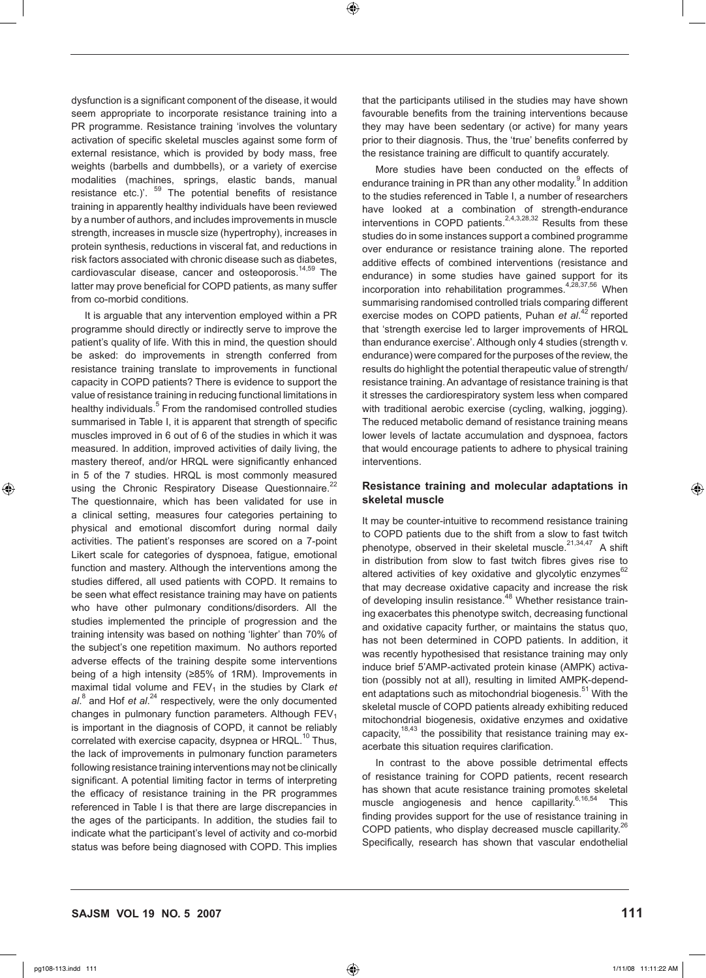⊕

dysfunction is a significant component of the disease, it would seem appropriate to incorporate resistance training into a PR programme. Resistance training 'involves the voluntary activation of specific skeletal muscles against some form of external resistance, which is provided by body mass, free weights (barbells and dumbbells), or a variety of exercise modalities (machines, springs, elastic bands, manual resistance etc.)'.  $59$  The potential benefits of resistance training in apparently healthy individuals have been reviewed by a number of authors, and includes improvements in muscle strength, increases in muscle size (hypertrophy), increases in protein synthesis, reductions in visceral fat, and reductions in risk factors associated with chronic disease such as diabetes, cardiovascular disease, cancer and osteoporosis.<sup>14,59</sup> The latter may prove beneficial for COPD patients, as many suffer from co-morbid conditions.

It is arguable that any intervention employed within a PR programme should directly or indirectly serve to improve the patient's quality of life. With this in mind, the question should be asked: do improvements in strength conferred from resistance training translate to improvements in functional capacity in COPD patients? There is evidence to support the value of resistance training in reducing functional limitations in healthy individuals.<sup>5</sup> From the randomised controlled studies summarised in Table I, it is apparent that strength of specific muscles improved in 6 out of 6 of the studies in which it was measured. In addition, improved activities of daily living, the mastery thereof, and/or HRQL were significantly enhanced in 5 of the 7 studies. HRQL is most commonly measured using the Chronic Respiratory Disease Questionnaire.<sup>22</sup> The questionnaire, which has been validated for use in a clinical setting, measures four categories pertaining to physical and emotional discomfort during normal daily activities. The patient's responses are scored on a 7-point Likert scale for categories of dyspnoea, fatigue, emotional function and mastery. Although the interventions among the studies differed, all used patients with COPD. It remains to be seen what effect resistance training may have on patients who have other pulmonary conditions/disorders. All the studies implemented the principle of progression and the training intensity was based on nothing 'lighter' than 70% of the subject's one repetition maximum. No authors reported adverse effects of the training despite some interventions being of a high intensity (≥85% of 1RM). Improvements in maximal tidal volume and FEV<sub>1</sub> in the studies by Clark et al.<sup>8</sup> and Hof *et al.*<sup>24</sup> respectively, were the only documented changes in pulmonary function parameters. Although  $FEV<sub>1</sub>$ is important in the diagnosis of COPD, it cannot be reliably correlated with exercise capacity, dsypnea or HRQL.<sup>10</sup> Thus, the lack of improvements in pulmonary function parameters following resistance training interventions may not be clinically significant. A potential limiting factor in terms of interpreting the efficacy of resistance training in the PR programmes referenced in Table I is that there are large discrepancies in the ages of the participants. In addition, the studies fail to indicate what the participant's level of activity and co-morbid status was before being diagnosed with COPD. This implies that the participants utilised in the studies may have shown favourable benefits from the training interventions because they may have been sedentary (or active) for many years prior to their diagnosis. Thus, the 'true' benefits conferred by the resistance training are difficult to quantify accurately.

More studies have been conducted on the effects of endurance training in PR than any other modality.<sup>9</sup> In addition to the studies referenced in Table I, a number of researchers have looked at a combination of strength-endurance interventions in COPD patients. $2,4,3,28,32$  Results from these studies do in some instances support a combined programme over endurance or resistance training alone. The reported additive effects of combined interventions (resistance and endurance) in some studies have gained support for its incorporation into rehabilitation programmes. $4,28,37,56$  When summarising randomised controlled trials comparing different exercise modes on COPD patients, Puhan *et al.<sup>42</sup>* reported that 'strength exercise led to larger improvements of HRQL than endurance exercise'. Although only 4 studies (strength v. endurance) were compared for the purposes of the review, the results do highlight the potential therapeutic value of strength/ resistance training. An advantage of resistance training is that it stresses the cardiorespiratory system less when compared with traditional aerobic exercise (cycling, walking, jogging). The reduced metabolic demand of resistance training means lower levels of lactate accumulation and dyspnoea, factors that would encourage patients to adhere to physical training interventions.

### **Resistance training and molecular adaptations in skeletal muscle**

It may be counter-intuitive to recommend resistance training to COPD patients due to the shift from a slow to fast twitch phenotype, observed in their skeletal muscle. $2^{1,34,47}$  A shift in distribution from slow to fast twitch fibres gives rise to altered activities of key oxidative and glycolytic enzymes $62$ that may decrease oxidative capacity and increase the risk of developing insulin resistance.<sup>48</sup> Whether resistance training exacerbates this phenotype switch, decreasing functional and oxidative capacity further, or maintains the status quo, has not been determined in COPD patients. In addition, it was recently hypothesised that resistance training may only induce brief 5'AMP-activated protein kinase (AMPK) activation (possibly not at all), resulting in limited AMPK-dependent adaptations such as mitochondrial biogenesis.<sup>51</sup> With the skeletal muscle of COPD patients already exhibiting reduced mitochondrial biogenesis, oxidative enzymes and oxidative capacity,  $18,43$  the possibility that resistance training may exacerbate this situation requires clarification.

In contrast to the above possible detrimental effects of resistance training for COPD patients, recent research has shown that acute resistance training promotes skeletal muscle angiogenesis and hence capillarity.<sup>6,16,54</sup> This finding provides support for the use of resistance training in COPD patients, who display decreased muscle capillarity.<sup>26</sup> Specifically, research has shown that vascular endothelial

⊕

pg108-113.indd 111 11:11:22 AM (11:11:22 AM ) (11:11:22 AM ) (11:11:22 AM ) (11:11:22 AM ) (11:11:22 AM ) (11:1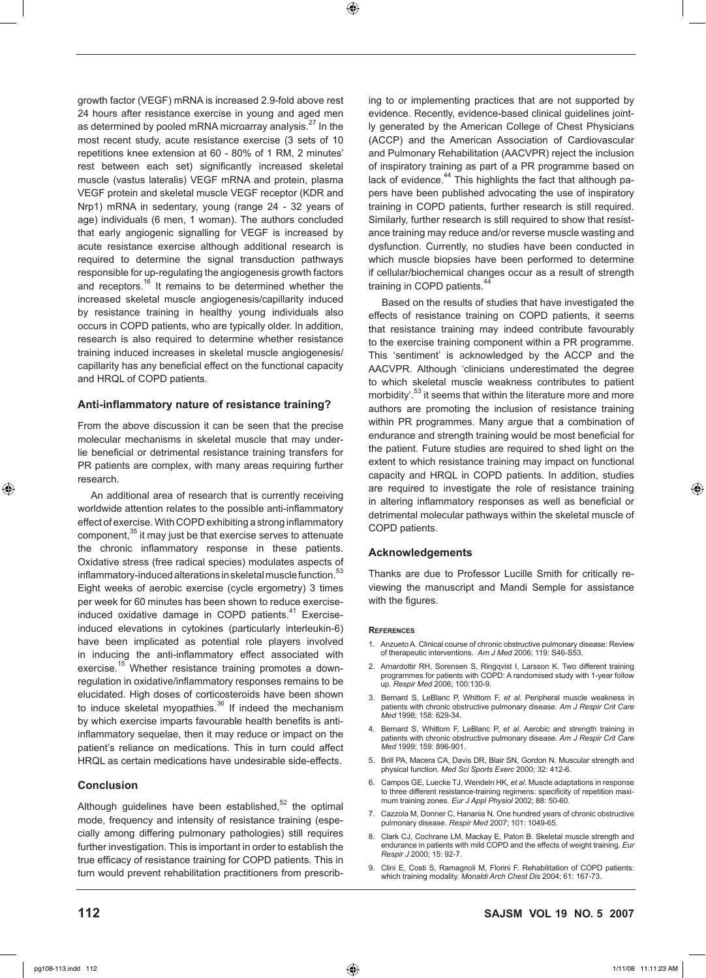⊕

growth factor (VEGF) mRNA is increased 2.9-fold above rest 24 hours after resistance exercise in young and aged men as determined by pooled mRNA microarray analysis.<sup>27</sup> In the most recent study, acute resistance exercise (3 sets of 10 repetitions knee extension at 60 - 80% of 1 RM, 2 minutes' rest between each set) significantly increased skeletal muscle (vastus lateralis) VEGF mRNA and protein, plasma VEGF protein and skeletal muscle VEGF receptor (KDR and Nrp1) mRNA in sedentary, young (range 24 - 32 years of age) individuals (6 men, 1 woman). The authors concluded that early angiogenic signalling for VEGF is increased by acute resistance exercise although additional research is required to determine the signal transduction pathways responsible for up-regulating the angiogenesis growth factors and receptors.16 It remains to be determined whether the increased skeletal muscle angiogenesis/capillarity induced by resistance training in healthy young individuals also occurs in COPD patients, who are typically older. In addition, research is also required to determine whether resistance training induced increases in skeletal muscle angiogenesis/ capillarity has any beneficial effect on the functional capacity and HRQL of COPD patients.

### **Anti-inflammatory nature of resistance training?**

From the above discussion it can be seen that the precise molecular mechanisms in skeletal muscle that may underlie beneficial or detrimental resistance training transfers for PR patients are complex, with many areas requiring further research.

An additional area of research that is currently receiving worldwide attention relates to the possible anti-inflammatory effect of exercise. With COPD exhibiting a strong inflammatory component,<sup>35</sup> it may just be that exercise serves to attenuate the chronic inflammatory response in these patients. Oxidative stress (free radical species) modulates aspects of inflammatory-induced alterations in skeletal muscle function.<sup>5</sup> Eight weeks of aerobic exercise (cycle ergometry) 3 times per week for 60 minutes has been shown to reduce exerciseinduced oxidative damage in COPD patients.<sup>41</sup> Exerciseinduced elevations in cytokines (particularly interleukin-6) have been implicated as potential role players involved in inducing the anti-inflammatory effect associated with exercise.<sup>15</sup> Whether resistance training promotes a downregulation in oxidative/inflammatory responses remains to be elucidated. High doses of corticosteroids have been shown to induce skeletal myopathies. $36$  If indeed the mechanism by which exercise imparts favourable health benefits is antiinflammatory sequelae, then it may reduce or impact on the patient's reliance on medications. This in turn could affect HRQL as certain medications have undesirable side-effects.

### **Conclusion**

Although guidelines have been established, $52$  the optimal mode, frequency and intensity of resistance training (especially among differing pulmonary pathologies) still requires further investigation. This is important in order to establish the true efficacy of resistance training for COPD patients. This in turn would prevent rehabilitation practitioners from prescribing to or implementing practices that are not supported by evidence. Recently, evidence-based clinical guidelines jointly generated by the American College of Chest Physicians (ACCP) and the American Association of Cardiovascular and Pulmonary Rehabilitation (AACVPR) reject the inclusion of inspiratory training as part of a PR programme based on lack of evidence. $44$  This highlights the fact that although papers have been published advocating the use of inspiratory training in COPD patients, further research is still required. Similarly, further research is still required to show that resistance training may reduce and/or reverse muscle wasting and dysfunction. Currently, no studies have been conducted in which muscle biopsies have been performed to determine if cellular/biochemical changes occur as a result of strength training in COPD patients.<sup>44</sup>

Based on the results of studies that have investigated the effects of resistance training on COPD patients, it seems that resistance training may indeed contribute favourably to the exercise training component within a PR programme. This 'sentiment' is acknowledged by the ACCP and the AACVPR. Although 'clinicians underestimated the degree to which skeletal muscle weakness contributes to patient morbidity'.<sup>53</sup> it seems that within the literature more and more authors are promoting the inclusion of resistance training within PR programmes. Many argue that a combination of endurance and strength training would be most beneficial for the patient. Future studies are required to shed light on the extent to which resistance training may impact on functional capacity and HRQL in COPD patients. In addition, studies are required to investigate the role of resistance training in altering inflammatory responses as well as beneficial or detrimental molecular pathways within the skeletal muscle of COPD patients.

### **Acknowledgements**

Thanks are due to Professor Lucille Smith for critically reviewing the manuscript and Mandi Semple for assistance with the figures.

#### **References**

- 1. Anzueto A. Clinical course of chronic obstructive pulmonary disease: Review of therapeutic interventions. *Am J Med* 2006; 119: S46-S53.
- 2. Arnardottir RH, Sorensen S, Ringqvist I, Larsson K. Two different training programmes for patients with COPD: A randomised study with 1-year follow up. *Respir Med* 2006; 100:130-9.
- 3. Bernard S, LeBlanc P, Whittom F, *et al*. Peripheral muscle weakness in patients with chronic obstructive pulmonary disease. *Am J Respir Crit Care Med* 1998; 158: 629-34.
- 4. Bernard S, Whittom F, LeBlanc P, *et al*. Aerobic and strength training in patients with chronic obstructive pulmonary disease. *Am J Respir Crit Care Med* 1999; 159: 896-901.
- 5. Brill PA, Macera CA, Davis DR, Blair SN, Gordon N. Muscular strength and physical function. *Med Sci Sports Exerc* 2000; 32: 412-6.
- 6. Campos GE, Luecke TJ, Wendeln HK, *et al*. Muscle adaptations in response to three different resistance-training regimens: specificity of repetition maximum training zones. *Eur J Appl Physiol* 2002; 88: 50-60.
- Cazzola M, Donner C, Hanania N. One hundred years of chronic obstructive pulmonary disease. *Respir Med* 2007; 101: 1049-65.
- 8. Clark CJ, Cochrane LM, Mackay E, Paton B. Skeletal muscle strength and endurance in patients with mild COPD and the effects of weight training. *Eur Respir J* 2000; 15: 92-7.
- 9. Clini E, Costi S, Ramagnoli M, Florini F. Rehabilitation of COPD patients: which training modality. *Monaldi Arch Chest Dis* 2004; 61: 167-73.